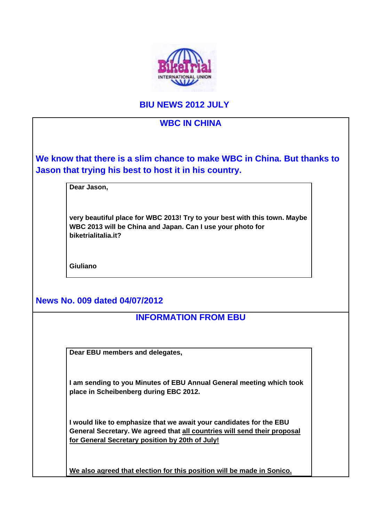

# **BIU NEWS 2012 JULY**

# **WBC IN CHINA We know that there is a slim chance to make WBC in China. But thanks to Jason that trying his best to host it in his country. Dear Jason, very beautiful place for WBC 2013! Try to your best with this town. Maybe WBC 2013 will be China and Japan. Can I use your photo for biketrialitalia.it? Giuliano News No. 009 dated 04/07/2012 INFORMATION FROM EBU Dear EBU members and delegates, I am sending to you Minutes of EBU Annual General meeting which took place in Scheibenberg during EBC 2012. I would like to emphasize that we await your candidates for the EBU General Secretary. We agreed that all countries will send their proposal for General Secretary position by 20th of July! We also agreed that election for this position will be made in Sonico.**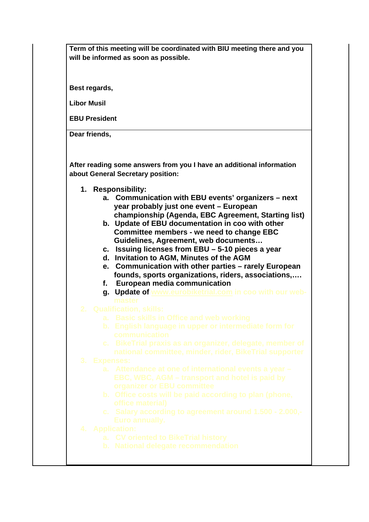**Term of this meeting will be coordinated with BIU meeting there and you will be informed as soon as possible.**

**Best regards,** 

**Libor Musil**

**EBU President**

**Dear friends,**

**After reading some answers from you I have an additional information about General Secretary position:**

- **1. Responsibility:**
	- **a. Communication with EBU events' organizers next year probably just one event – European championship (Agenda, EBC Agreement, Starting list)**
	- **b. Update of EBU documentation in coo with other Committee members - we need to change EBC Guidelines, Agreement, web documents…**
	- **c. Issuing licenses from EBU 5-10 pieces a year**
	- **d. Invitation to AGM, Minutes of the AGM**
	- **e. Communication with other parties rarely European founds, sports organizations, riders, associations,….**
	- **f. European media communication**
	- **g. Update of www.eurobiketrial.com in coo with our web-**
- -
	-
	-

- 
- 
- 
- -
	-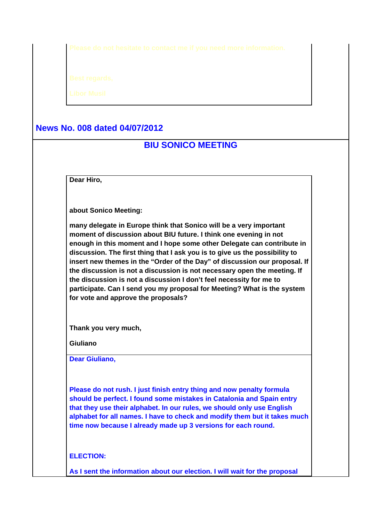# **News No. 008 dated 04/07/2012**

# **BIU SONICO MEETING**

**Dear Hiro,**

**about Sonico Meeting:**

**many delegate in Europe think that Sonico will be a very important moment of discussion about BIU future. I think one evening in not enough in this moment and I hope some other Delegate can contribute in discussion. The first thing that I ask you is to give us the possibility to insert new themes in the "Order of the Day" of discussion our proposal. If the discussion is not a discussion is not necessary open the meeting. If the discussion is not a discussion I don't feel necessity for me to participate. Can I send you my proposal for Meeting? What is the system for vote and approve the proposals?**

**Thank you very much,**

**Giuliano**

**Dear Giuliano,**

**Please do not rush. I just finish entry thing and now penalty formula should be perfect. I found some mistakes in Catalonia and Spain entry that they use their alphabet. In our rules, we should only use English alphabet for all names. I have to check and modify them but it takes much time now because I already made up 3 versions for each round.** 

**ELECTION:**

**As I sent the information about our election. I will wait for the proposal**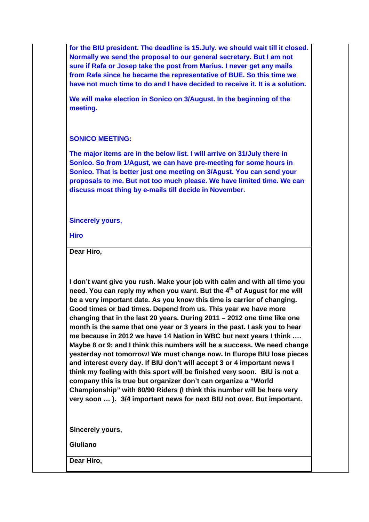**for the BIU president. The deadline is 15.July. we should wait till it closed. Normally we send the proposal to our general secretary. But I am not sure if Rafa or Josep take the post from Marius. I never get any mails from Rafa since he became the representative of BUE. So this time we have not much time to do and I have decided to receive it. It is a solution.** 

**We will make election in Sonico on 3/August. In the beginning of the meeting.** 

#### **SONICO MEETING:**

**The major items are in the below list. I will arrive on 31/July there in Sonico. So from 1/Agust, we can have pre-meeting for some hours in Sonico. That is better just one meeting on 3/Agust. You can send your proposals to me. But not too much please. We have limited time. We can discuss most thing by e-mails till decide in November.**

#### **Sincerely yours,**

**Hiro**

**Dear Hiro,**

**I don't want give you rush. Make your job with calm and with all time you**  need. You can reply my when you want. But the 4<sup>th</sup> of August for me will **be a very important date. As you know this time is carrier of changing. Good times or bad times. Depend from us. This year we have more changing that in the last 20 years. During 2011 – 2012 one time like one month is the same that one year or 3 years in the past. I ask you to hear me because in 2012 we have 14 Nation in WBC but next years I think …. Maybe 8 or 9; and I think this numbers will be a success. We need change yesterday not tomorrow! We must change now. In Europe BIU lose pieces and interest every day. If BIU don't will accept 3 or 4 important news I think my feeling with this sport will be finished very soon. BIU is not a company this is true but organizer don't can organize a "World Championship" with 80/90 Riders (I think this number will be here very very soon … ). 3/4 important news for next BIU not over. But important.** 

**Sincerely yours,**

**Giuliano**

**Dear Hiro,**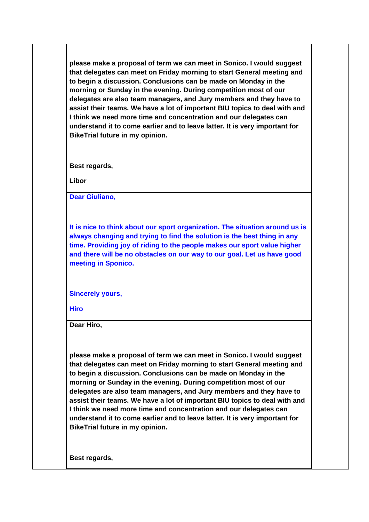**please make a proposal of term we can meet in Sonico. I would suggest that delegates can meet on Friday morning to start General meeting and to begin a discussion. Conclusions can be made on Monday in the morning or Sunday in the evening. During competition most of our delegates are also team managers, and Jury members and they have to assist their teams. We have a lot of important BIU topics to deal with and I think we need more time and concentration and our delegates can understand it to come earlier and to leave latter. It is very important for BikeTrial future in my opinion.**

**Best regards,**

**Libor**

**Dear Giuliano,**

**It is nice to think about our sport organization. The situation around us is always changing and trying to find the solution is the best thing in any time. Providing joy of riding to the people makes our sport value higher and there will be no obstacles on our way to our goal. Let us have good meeting in Sponico.** 

**Sincerely yours,**

**Hiro**

**Dear Hiro,** 

**please make a proposal of term we can meet in Sonico. I would suggest that delegates can meet on Friday morning to start General meeting and to begin a discussion. Conclusions can be made on Monday in the morning or Sunday in the evening. During competition most of our delegates are also team managers, and Jury members and they have to assist their teams. We have a lot of important BIU topics to deal with and I think we need more time and concentration and our delegates can understand it to come earlier and to leave latter. It is very important for BikeTrial future in my opinion.**

**Best regards,**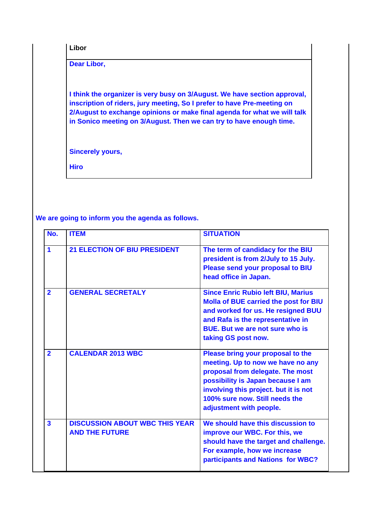**Libor**

**Dear Libor,**

**I think the organizer is very busy on 3/August. We have section approval, inscription of riders, jury meeting, So I prefer to have Pre-meeting on 2/August to exchange opinions or make final agenda for what we will talk in Sonico meeting on 3/August. Then we can try to have enough time.**

**Sincerely yours,**

**Hiro**

#### **We are going to inform you the agenda as follows.**

| No.                     | <b>ITEM</b>                                                    | <b>SITUATION</b>                                                                                                                                                                                                                                      |
|-------------------------|----------------------------------------------------------------|-------------------------------------------------------------------------------------------------------------------------------------------------------------------------------------------------------------------------------------------------------|
| $\blacktriangleleft$    | <b>21 ELECTION OF BIU PRESIDENT</b>                            | The term of candidacy for the BIU<br>president is from 2/July to 15 July.<br>Please send your proposal to BIU<br>head office in Japan.                                                                                                                |
| $\overline{2}$          | <b>GENERAL SECRETALY</b>                                       | <b>Since Enric Rubio left BIU, Marius</b><br><b>Molla of BUE carried the post for BIU</b><br>and worked for us. He resigned BUU<br>and Rafa is the representative in<br><b>BUE.</b> But we are not sure who is<br>taking GS post now.                 |
| $\overline{2}$          | <b>CALENDAR 2013 WBC</b>                                       | Please bring your proposal to the<br>meeting. Up to now we have no any<br>proposal from delegate. The most<br>possibility is Japan because I am<br>involving this project. but it is not<br>100% sure now. Still needs the<br>adjustment with people. |
| $\overline{\mathbf{3}}$ | <b>DISCUSSION ABOUT WBC THIS YEAR</b><br><b>AND THE FUTURE</b> | We should have this discussion to<br>improve our WBC. For this, we<br>should have the target and challenge.<br>For example, how we increase<br>participants and Nations for WBC?                                                                      |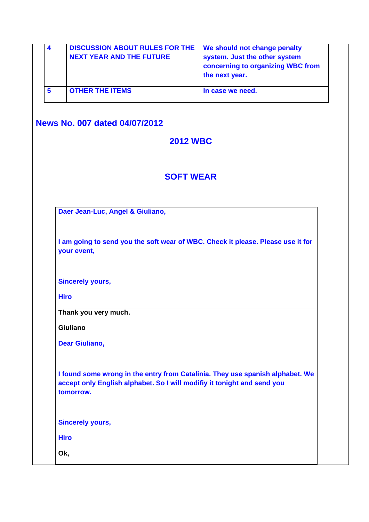| 4              | <b>DISCUSSION ABOUT RULES FOR THE</b><br><b>NEXT YEAR AND THE FUTURE</b>                                                                                              | We should not change penalty<br>system. Just the other system<br>concerning to organizing WBC from<br>the next year. |
|----------------|-----------------------------------------------------------------------------------------------------------------------------------------------------------------------|----------------------------------------------------------------------------------------------------------------------|
| $5\phantom{a}$ | <b>OTHER THE ITEMS</b>                                                                                                                                                | In case we need.                                                                                                     |
|                | <b>News No. 007 dated 04/07/2012</b>                                                                                                                                  |                                                                                                                      |
|                | <b>2012 WBC</b>                                                                                                                                                       |                                                                                                                      |
|                | <b>SOFT WEAR</b>                                                                                                                                                      |                                                                                                                      |
|                | Daer Jean-Luc, Angel & Giuliano,                                                                                                                                      |                                                                                                                      |
|                | I am going to send you the soft wear of WBC. Check it please. Please use it for<br>your event,                                                                        |                                                                                                                      |
|                | <b>Sincerely yours,</b>                                                                                                                                               |                                                                                                                      |
|                | <b>Hiro</b>                                                                                                                                                           |                                                                                                                      |
|                | Thank you very much.                                                                                                                                                  |                                                                                                                      |
|                | <b>Giuliano</b>                                                                                                                                                       |                                                                                                                      |
|                | <b>Dear Giuliano,</b>                                                                                                                                                 |                                                                                                                      |
|                | I found some wrong in the entry from Catalinia. They use spanish alphabet. We<br>accept only English alphabet. So I will modifiy it tonight and send you<br>tomorrow. |                                                                                                                      |
|                | <b>Sincerely yours,</b>                                                                                                                                               |                                                                                                                      |
|                | <b>Hiro</b>                                                                                                                                                           |                                                                                                                      |
|                |                                                                                                                                                                       |                                                                                                                      |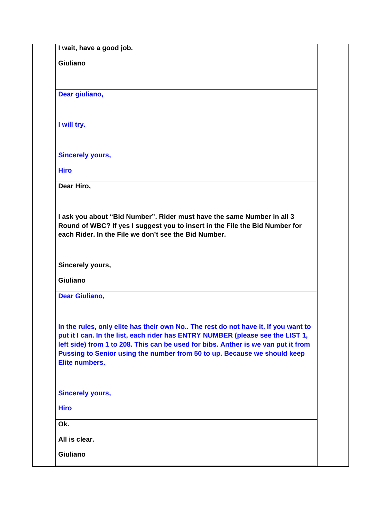**I wait, have a good job.**

**Giuliano**

**Dear giuliano,**

**I will try.**

**Sincerely yours,**

**Hiro**

**Dear Hiro,**

**I ask you about "Bid Number". Rider must have the same Number in all 3 Round of WBC? If yes I suggest you to insert in the File the Bid Number for each Rider. In the File we don't see the Bid Number.**

**Sincerely yours,**

**Giuliano**

**Dear Giuliano,**

**In the rules, only elite has their own No.. The rest do not have it. If you want to put it I can. In the list, each rider has ENTRY NUMBER (please see the LIST 1, left side) from 1 to 208. This can be used for bibs. Anther is we van put it from Pussing to Senior using the number from 50 to up. Because we should keep Elite numbers.**

**Sincerely yours,**

**Hiro**

**Ok.**

**All is clear.**

**Giuliano**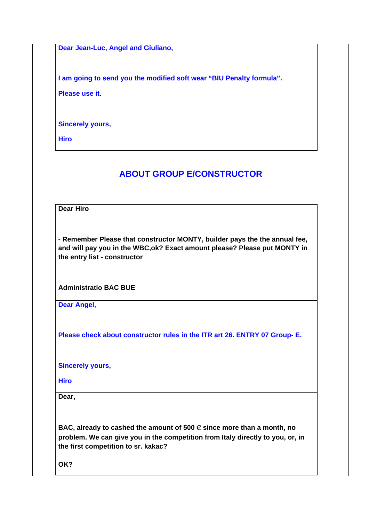**Dear Jean-Luc, Angel and Giuliano,**

**I am going to send you the modified soft wear "BIU Penalty formula". Please use it.**

**Sincerely yours,**

**Hiro** 

# **ABOUT GROUP E/CONSTRUCTOR**

**Dear Hiro**

**- Remember Please that constructor MONTY, builder pays the the annual fee, and will pay you in the WBC,ok? Exact amount please? Please put MONTY in the entry list - constructor**

**Administratio BAC BUE**

**Dear Angel,**

**Please check about constructor rules in the ITR art 26. ENTRY 07 Group- E.**

**Sincerely yours,**

**Hiro**

**Dear,**

**BAC, already to cashed the amount of 500** € **since more than a month, no problem. We can give you in the competition from Italy directly to you, or, in the first competition to sr. kakac?** 

**OK?**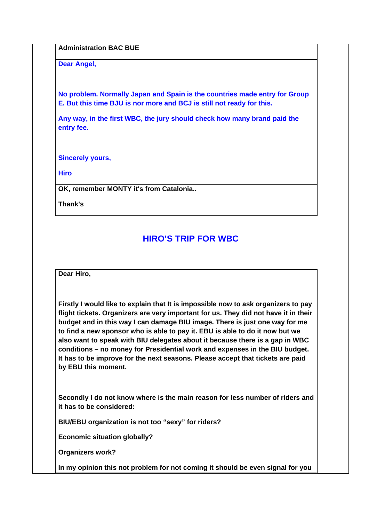**Administration BAC BUE**

**Dear Angel,**

**No problem. Normally Japan and Spain is the countries made entry for Group E. But this time BJU is nor more and BCJ is still not ready for this.**

**Any way, in the first WBC, the jury should check how many brand paid the entry fee.**

**Sincerely yours,**

**Hiro**

**OK, remember MONTY it's from Catalonia..**

**Thank's**

## **HIRO'S TRIP FOR WBC**

**Dear Hiro,**

**Firstly I would like to explain that It is impossible now to ask organizers to pay flight tickets. Organizers are very important for us. They did not have it in their budget and in this way I can damage BIU image. There is just one way for me to find a new sponsor who is able to pay it. EBU is able to do it now but we also want to speak with BIU delegates about it because there is a gap in WBC conditions – no money for Presidential work and expenses in the BIU budget. It has to be improve for the next seasons. Please accept that tickets are paid by EBU this moment.**

**Secondly I do not know where is the main reason for less number of riders and it has to be considered:**

**BIU/EBU organization is not too "sexy" for riders?**

**Economic situation globally?**

**Organizers work?**

**In my opinion this not problem for not coming it should be even signal for you**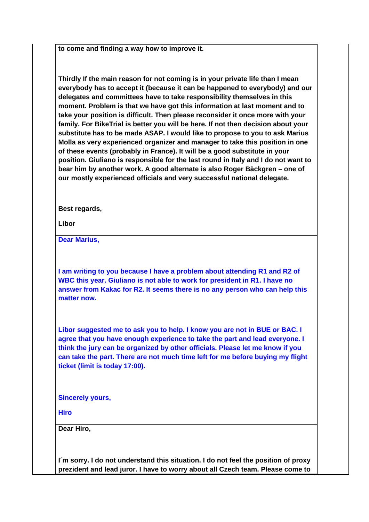**to come and finding a way how to improve it.** 

**Thirdly If the main reason for not coming is in your private life than I mean everybody has to accept it (because it can be happened to everybody) and our delegates and committees have to take responsibility themselves in this moment. Problem is that we have got this information at last moment and to take your position is difficult. Then please reconsider it once more with your family. For BikeTrial is better you will be here. If not then decision about your substitute has to be made ASAP. I would like to propose to you to ask Marius Molla as very experienced organizer and manager to take this position in one of these events (probably in France). It will be a good substitute in your position. Giuliano is responsible for the last round in Italy and I do not want to bear him by another work. A good alternate is also Roger Bäckgren – one of our mostly experienced officials and very successful national delegate.**

**Best regards,**

**Libor**

**Dear Marius,**

**I am writing to you because I have a problem about attending R1 and R2 of WBC this year. Giuliano is not able to work for president in R1. I have no answer from Kakac for R2. It seems there is no any person who can help this matter now.**

**Libor suggested me to ask you to help. I know you are not in BUE or BAC. I agree that you have enough experience to take the part and lead everyone. I think the jury can be organized by other officials. Please let me know if you can take the part. There are not much time left for me before buying my flight ticket (limit is today 17:00).**

**Sincerely yours,**

**Hiro**

**Dear Hiro,**

**I´m sorry. I do not understand this situation. I do not feel the position of proxy prezident and lead juror. I have to worry about all Czech team. Please come to**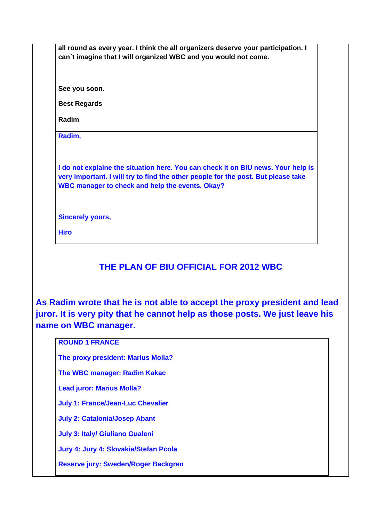| all round as every year. I think the all organizers deserve your participation. I<br>can't imagine that I will organized WBC and you would not come.                                                                     |  |
|--------------------------------------------------------------------------------------------------------------------------------------------------------------------------------------------------------------------------|--|
|                                                                                                                                                                                                                          |  |
| See you soon.                                                                                                                                                                                                            |  |
| <b>Best Regards</b>                                                                                                                                                                                                      |  |
| Radim                                                                                                                                                                                                                    |  |
| Radim,                                                                                                                                                                                                                   |  |
|                                                                                                                                                                                                                          |  |
| I do not explaine the situation here. You can check it on BIU news. Your help is<br>very important. I will try to find the other people for the post. But please take<br>WBC manager to check and help the events. Okay? |  |
|                                                                                                                                                                                                                          |  |
| <b>Sincerely yours,</b>                                                                                                                                                                                                  |  |
| <b>Hiro</b>                                                                                                                                                                                                              |  |

# **THE PLAN OF BIU OFFICIAL FOR 2012 WBC**

**As Radim wrote that he is not able to accept the proxy president and lead juror. It is very pity that he cannot help as those posts. We just leave his name on WBC manager.** 

### **ROUND 1 FRANCE**

**The proxy president: Marius Molla?**

**The WBC manager: Radim Kakac**

**Lead juror: Marius Molla?**

**July 1: France/Jean-Luc Chevalier**

**July 2: Catalonia/Josep Abant**

**July 3: Italy/ Giuliano Gualeni**

**Jury 4: Jury 4: Slovakia/Stefan Pcola**

**Reserve jury: Sweden/Roger Backgren**